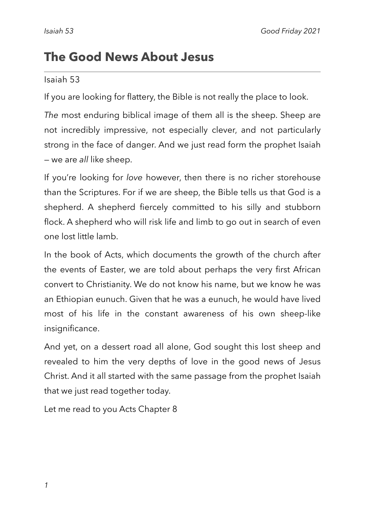# **The Good News About Jesus**

#### Isaiah 53

If you are looking for flattery, the Bible is not really the place to look.

*The* most enduring biblical image of them all is the sheep. Sheep are not incredibly impressive, not especially clever, and not particularly strong in the face of danger. And we just read form the prophet Isaiah — we are *all* like sheep.

If you're looking for *love* however, then there is no richer storehouse than the Scriptures. For if we are sheep, the Bible tells us that God is a shepherd. A shepherd fiercely committed to his silly and stubborn flock. A shepherd who will risk life and limb to go out in search of even one lost little lamb.

In the book of Acts, which documents the growth of the church after the events of Easter, we are told about perhaps the very first African convert to Christianity. We do not know his name, but we know he was an Ethiopian eunuch. Given that he was a eunuch, he would have lived most of his life in the constant awareness of his own sheep-like insignificance.

And yet, on a dessert road all alone, God sought this lost sheep and revealed to him the very depths of love in the good news of Jesus Christ. And it all started with the same passage from the prophet Isaiah that we just read together today.

Let me read to you Acts Chapter 8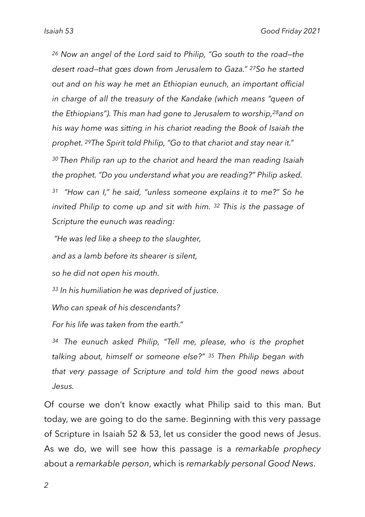*26 Now an angel of the Lord said to Philip, "Go south to the road—the desert road—that goes down from Jerusalem to Gaza." 27So he started out and on his way he met an Ethiopian eunuch, an important official in charge of all the treasury of the Kandake (which means "queen of the Ethiopians"). This man had gone to Jerusalem to worship,28and on his way home was sitting in his chariot reading the Book of Isaiah the prophet. 29The Spirit told Philip, "Go to that chariot and stay near it."*

*30 Then Philip ran up to the chariot and heard the man reading Isaiah the prophet. "Do you understand what you are reading?" Philip asked.*

*<sup>31</sup> "How can I," he said, "unless someone explains it to me?" So he invited Philip to come up and sit with him. 32 This is the passage of Scripture the eunuch was reading:* 

*"He was led like a sheep to the slaughter,*

*and as a lamb before its shearer is silent,*

*so he did not open his mouth.*

*<sup>33</sup> In his humiliation he was deprived of justice.*

*Who can speak of his descendants?*

*For his life was taken from the earth."* 

*<sup>34</sup> The eunuch asked Philip, "Tell me, please, who is the prophet talking about, himself or someone else?" 35 Then Philip began with that very passage of Scripture and told him the good news about Jesus.*

Of course we don't know exactly what Philip said to this man. But today, we are going to do the same. Beginning with this very passage of Scripture in Isaiah 52 & 53, let us consider the good news of Jesus. As we do, we will see how this passage is a *remarkable prophecy*  about a *remarkable person*, which is *remarkably personal Good News*.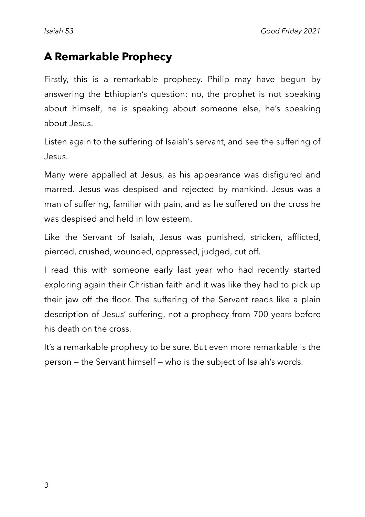## **A Remarkable Prophecy**

Firstly, this is a remarkable prophecy. Philip may have begun by answering the Ethiopian's question: no, the prophet is not speaking about himself, he is speaking about someone else, he's speaking about Jesus.

Listen again to the suffering of Isaiah's servant, and see the suffering of Jesus.

Many were appalled at Jesus, as his appearance was disfigured and marred. Jesus was despised and rejected by mankind. Jesus was a man of suffering, familiar with pain, and as he suffered on the cross he was despised and held in low esteem.

Like the Servant of Isaiah, Jesus was punished, stricken, afflicted, pierced, crushed, wounded, oppressed, judged, cut off.

I read this with someone early last year who had recently started exploring again their Christian faith and it was like they had to pick up their jaw off the floor. The suffering of the Servant reads like a plain description of Jesus' suffering, not a prophecy from 700 years before his death on the cross.

It's a remarkable prophecy to be sure. But even more remarkable is the person — the Servant himself — who is the subject of Isaiah's words.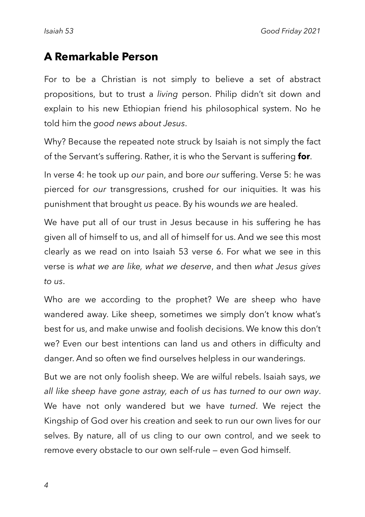### **A Remarkable Person**

For to be a Christian is not simply to believe a set of abstract propositions, but to trust a *living* person. Philip didn't sit down and explain to his new Ethiopian friend his philosophical system. No he told him the *good news about Jesus*.

Why? Because the repeated note struck by Isaiah is not simply the fact of the Servant's suffering. Rather, it is who the Servant is suffering **for**.

In verse 4: he took up *our* pain, and bore *our* suffering. Verse 5: he was pierced for *our* transgressions, crushed for our iniquities. It was his punishment that brought *us* peace. By his wounds *we* are healed.

We have put all of our trust in Jesus because in his suffering he has given all of himself to us, and all of himself for us. And we see this most clearly as we read on into Isaiah 53 verse 6. For what we see in this verse is *what we are like, what we deserve*, and then *what Jesus gives to us*.

Who are we according to the prophet? We are sheep who have wandered away. Like sheep, sometimes we simply don't know what's best for us, and make unwise and foolish decisions. We know this don't we? Even our best intentions can land us and others in difficulty and danger. And so often we find ourselves helpless in our wanderings.

But we are not only foolish sheep. We are wilful rebels. Isaiah says, *we all like sheep have gone astray, each of us has turned to our own way*. We have not only wandered but we have *turned*. We reject the Kingship of God over his creation and seek to run our own lives for our selves. By nature, all of us cling to our own control, and we seek to remove every obstacle to our own self-rule — even God himself.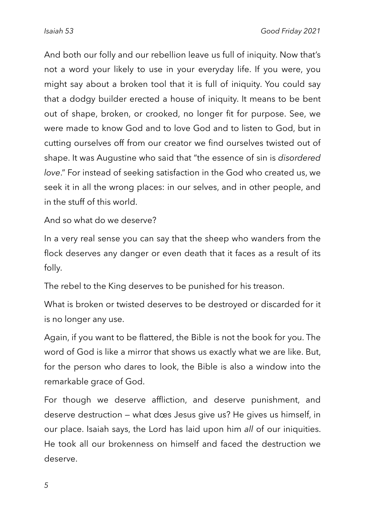And both our folly and our rebellion leave us full of iniquity. Now that's not a word your likely to use in your everyday life. If you were, you might say about a broken tool that it is full of iniquity. You could say that a dodgy builder erected a house of iniquity. It means to be bent out of shape, broken, or crooked, no longer fit for purpose. See, we were made to know God and to love God and to listen to God, but in cutting ourselves off from our creator we find ourselves twisted out of shape. It was Augustine who said that "the essence of sin is *disordered love*." For instead of seeking satisfaction in the God who created us, we seek it in all the wrong places: in our selves, and in other people, and in the stuff of this world.

And so what do we deserve?

In a very real sense you can say that the sheep who wanders from the flock deserves any danger or even death that it faces as a result of its folly.

The rebel to the King deserves to be punished for his treason.

What is broken or twisted deserves to be destroyed or discarded for it is no longer any use.

Again, if you want to be flattered, the Bible is not the book for you. The word of God is like a mirror that shows us exactly what we are like. But, for the person who dares to look, the Bible is also a window into the remarkable grace of God.

For though we deserve affliction, and deserve punishment, and deserve destruction — what does Jesus give us? He gives us himself, in our place. Isaiah says, the Lord has laid upon him *all* of our iniquities. He took all our brokenness on himself and faced the destruction we deserve.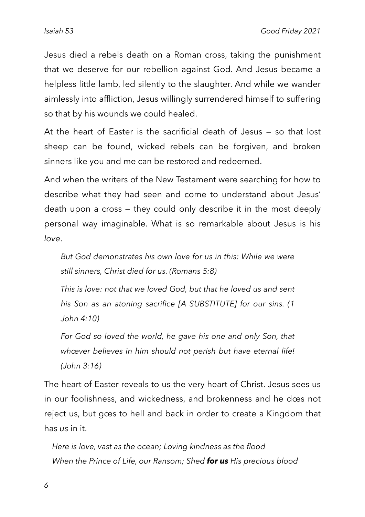Jesus died a rebels death on a Roman cross, taking the punishment that we deserve for our rebellion against God. And Jesus became a helpless little lamb, led silently to the slaughter. And while we wander aimlessly into affliction, Jesus willingly surrendered himself to suffering so that by his wounds we could healed.

At the heart of Easter is the sacrificial death of Jesus — so that lost sheep can be found, wicked rebels can be forgiven, and broken sinners like you and me can be restored and redeemed.

And when the writers of the New Testament were searching for how to describe what they had seen and come to understand about Jesus' death upon a cross — they could only describe it in the most deeply personal way imaginable. What is so remarkable about Jesus is his *love*.

But God demonstrates his own love for us in this: While we were *still sinners, Christ died for us. (Romans 5:8)*

*This is love: not that we loved God, but that he loved us and sent his Son as an atoning sacrifice [A SUBSTITUTE] for our sins. (1 John 4:10)*

*For God so loved the world, he gave his one and only Son, that whoever believes in him should not perish but have eternal life! (John 3:16)*

The heart of Easter reveals to us the very heart of Christ. Jesus sees us in our foolishness, and wickedness, and brokenness and he does not reject us, but goes to hell and back in order to create a Kingdom that has *us* in it.

*Here is love, vast as the ocean; Loving kindness as the flood When the Prince of Life, our Ransom; Shed for us His precious blood*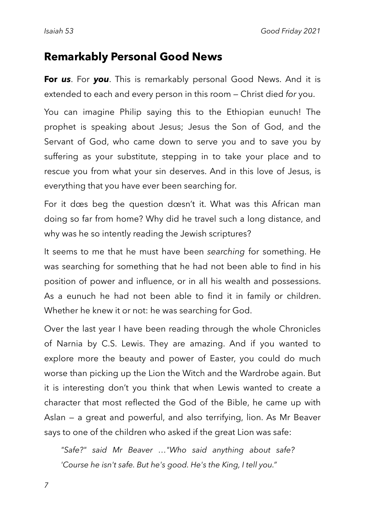### **Remarkably Personal Good News**

**For** *us*. For *you*. This is remarkably personal Good News. And it is extended to each and every person in this room — Christ died *for* you.

You can imagine Philip saying this to the Ethiopian eunuch! The prophet is speaking about Jesus; Jesus the Son of God, and the Servant of God, who came down to serve you and to save you by suffering as your substitute, stepping in to take your place and to rescue you from what your sin deserves. And in this love of Jesus, is everything that you have ever been searching for.

For it does beg the question doesn't it. What was this African man doing so far from home? Why did he travel such a long distance, and why was he so intently reading the Jewish scriptures?

It seems to me that he must have been *searching* for something. He was searching for something that he had not been able to find in his position of power and influence, or in all his wealth and possessions. As a eunuch he had not been able to find it in family or children. Whether he knew it or not: he was searching for God.

Over the last year I have been reading through the whole Chronicles of Narnia by C.S. Lewis. They are amazing. And if you wanted to explore more the beauty and power of Easter, you could do much worse than picking up the Lion the Witch and the Wardrobe again. But it is interesting don't you think that when Lewis wanted to create a character that most reflected the God of the Bible, he came up with Aslan — a great and powerful, and also terrifying, lion. As Mr Beaver says to one of the children who asked if the great Lion was safe:

*"Safe?" said Mr Beaver ..."Who said anything about safe? 'Course he isn't safe. But he's good. He's the King, I tell you."*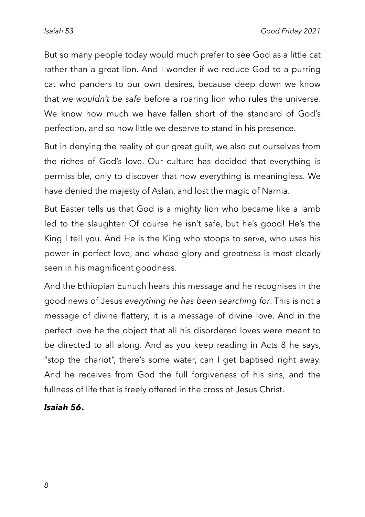But so many people today would much prefer to see God as a little cat rather than a great lion. And I wonder if we reduce God to a purring cat who panders to our own desires, because deep down we know that we *wouldn't be safe* before a roaring lion who rules the universe. We know how much we have fallen short of the standard of God's perfection, and so how little we deserve to stand in his presence.

But in denying the reality of our great guilt, we also cut ourselves from the riches of God's love. Our culture has decided that everything is permissible, only to discover that now everything is meaningless. We have denied the majesty of Aslan, and lost the magic of Narnia.

But Easter tells us that God is a mighty lion who became like a lamb led to the slaughter. Of course he isn't safe, but he's good! He's the King I tell you. And He is the King who stoops to serve, who uses his power in perfect love, and whose glory and greatness is most clearly seen in his magnificent goodness.

And the Ethiopian Eunuch hears this message and he recognises in the good news of Jesus *everything he has been searching for*. This is not a message of divine flattery, it is a message of divine love. And in the perfect love he the object that all his disordered loves were meant to be directed to all along. And as you keep reading in Acts 8 he says, "stop the chariot", there's some water, can I get baptised right away. And he receives from God the full forgiveness of his sins, and the fullness of life that is freely offered in the cross of Jesus Christ.

#### *Isaiah 56***.**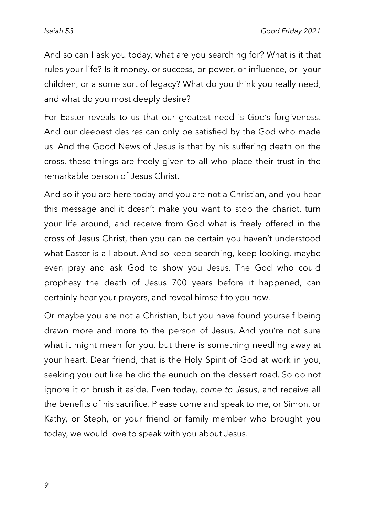And so can I ask you today, what are you searching for? What is it that rules your life? Is it money, or success, or power, or influence, or your children, or a some sort of legacy? What do you think you really need, and what do you most deeply desire?

For Easter reveals to us that our greatest need is God's forgiveness. And our deepest desires can only be satisfied by the God who made us. And the Good News of Jesus is that by his suffering death on the cross, these things are freely given to all who place their trust in the remarkable person of Jesus Christ.

And so if you are here today and you are not a Christian, and you hear this message and it doesn't make you want to stop the chariot, turn your life around, and receive from God what is freely offered in the cross of Jesus Christ, then you can be certain you haven't understood what Easter is all about. And so keep searching, keep looking, maybe even pray and ask God to show you Jesus. The God who could prophesy the death of Jesus 700 years before it happened, can certainly hear your prayers, and reveal himself to you now.

Or maybe you are not a Christian, but you have found yourself being drawn more and more to the person of Jesus. And you're not sure what it might mean for you, but there is something needling away at your heart. Dear friend, that is the Holy Spirit of God at work in you, seeking you out like he did the eunuch on the dessert road. So do not ignore it or brush it aside. Even today, *come to Jesus*, and receive all the benefits of his sacrifice. Please come and speak to me, or Simon, or Kathy, or Steph, or your friend or family member who brought you today, we would love to speak with you about Jesus.